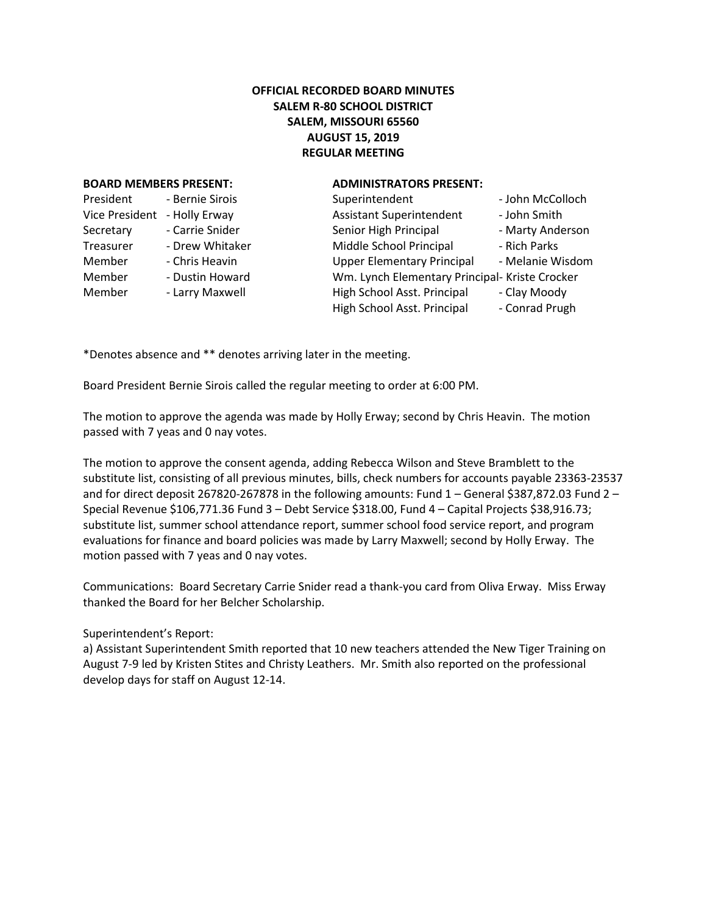# **OFFICIAL RECORDED BOARD MINUTES SALEM R-80 SCHOOL DISTRICT SALEM, MISSOURI 65560 AUGUST 15, 2019 REGULAR MEETING**

#### **BOARD MEMBERS PRESENT: ADMINISTRATORS PRESENT:**

| President                    | - Bernie Sirois |
|------------------------------|-----------------|
| Vice President - Holly Erway |                 |
| Secretary                    | - Carrie Snider |
| Treasurer                    | - Drew Whitaker |
| Member                       | - Chris Heavin  |
| Member                       | - Dustin Howard |
| Member                       | - Larry Maxwell |

| President      | - Bernie Sirois | Superintendent                                 | - John McColloch |
|----------------|-----------------|------------------------------------------------|------------------|
| Vice President | - Holly Erway   | <b>Assistant Superintendent</b>                | - John Smith     |
| Secretary      | - Carrie Snider | Senior High Principal                          | - Marty Anderson |
| Treasurer      | - Drew Whitaker | Middle School Principal                        | - Rich Parks     |
| Member         | - Chris Heavin  | <b>Upper Elementary Principal</b>              | - Melanie Wisdom |
| Member         | - Dustin Howard | Wm. Lynch Elementary Principal- Kriste Crocker |                  |
| Member         | - Larry Maxwell | High School Asst. Principal                    | - Clay Moody     |
|                |                 | High School Asst. Principal                    | - Conrad Prugh   |
|                |                 |                                                |                  |

\*Denotes absence and \*\* denotes arriving later in the meeting.

Board President Bernie Sirois called the regular meeting to order at 6:00 PM.

The motion to approve the agenda was made by Holly Erway; second by Chris Heavin. The motion passed with 7 yeas and 0 nay votes.

The motion to approve the consent agenda, adding Rebecca Wilson and Steve Bramblett to the substitute list, consisting of all previous minutes, bills, check numbers for accounts payable 23363-23537 and for direct deposit 267820-267878 in the following amounts: Fund 1 – General \$387,872.03 Fund 2 – Special Revenue \$106,771.36 Fund 3 – Debt Service \$318.00, Fund 4 – Capital Projects \$38,916.73; substitute list, summer school attendance report, summer school food service report, and program evaluations for finance and board policies was made by Larry Maxwell; second by Holly Erway. The motion passed with 7 yeas and 0 nay votes.

Communications: Board Secretary Carrie Snider read a thank-you card from Oliva Erway. Miss Erway thanked the Board for her Belcher Scholarship.

### Superintendent's Report:

a) Assistant Superintendent Smith reported that 10 new teachers attended the New Tiger Training on August 7-9 led by Kristen Stites and Christy Leathers. Mr. Smith also reported on the professional develop days for staff on August 12-14.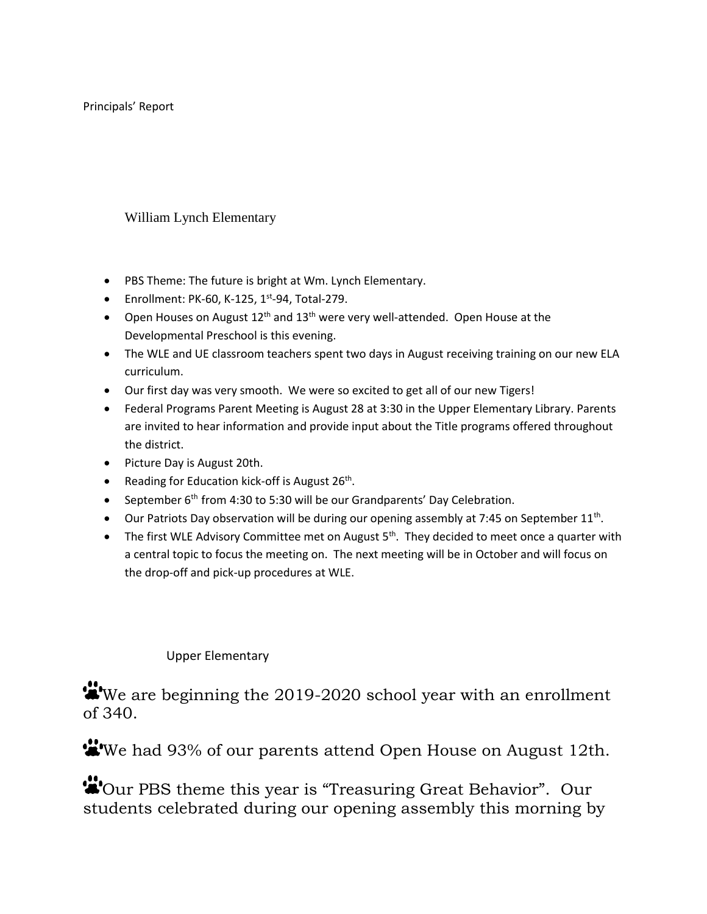Principals' Report

# William Lynch Elementary

- PBS Theme: The future is bright at Wm. Lynch Elementary.
- $\bullet$  Enrollment: PK-60, K-125, 1<sup>st</sup>-94, Total-279.
- Open Houses on August  $12^{th}$  and  $13^{th}$  were very well-attended. Open House at the Developmental Preschool is this evening.
- The WLE and UE classroom teachers spent two days in August receiving training on our new ELA curriculum.
- Our first day was very smooth. We were so excited to get all of our new Tigers!
- Federal Programs Parent Meeting is August 28 at 3:30 in the Upper Elementary Library. Parents are invited to hear information and provide input about the Title programs offered throughout the district.
- Picture Day is August 20th.
- Reading for Education kick-off is August 26<sup>th</sup>.
- September  $6<sup>th</sup>$  from 4:30 to 5:30 will be our Grandparents' Day Celebration.
- $\bullet$  Our Patriots Day observation will be during our opening assembly at 7:45 on September 11<sup>th</sup>.
- The first WLE Advisory Committee met on August  $5<sup>th</sup>$ . They decided to meet once a quarter with a central topic to focus the meeting on. The next meeting will be in October and will focus on the drop-off and pick-up procedures at WLE.

# Upper Elementary

We are beginning the 2019-2020 school year with an enrollment of 340.

We had 93% of our parents attend Open House on August 12th.

Our PBS theme this year is "Treasuring Great Behavior". Our students celebrated during our opening assembly this morning by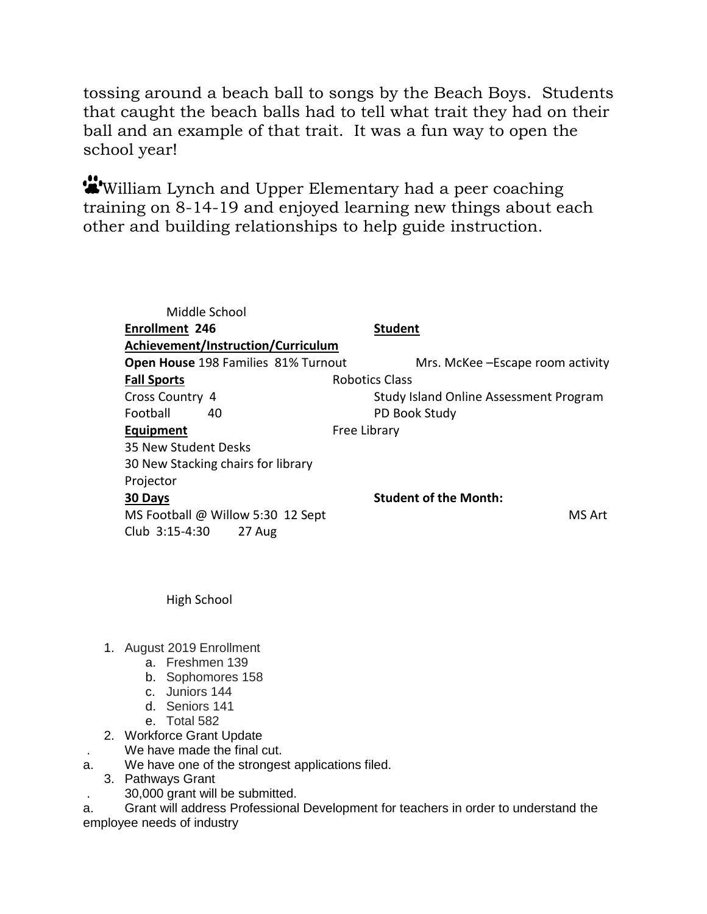tossing around a beach ball to songs by the Beach Boys. Students that caught the beach balls had to tell what trait they had on their ball and an example of that trait. It was a fun way to open the school year!

William Lynch and Upper Elementary had a peer coaching training on 8-14-19 and enjoyed learning new things about each other and building relationships to help guide instruction.

| Middle School                       |                                               |  |  |
|-------------------------------------|-----------------------------------------------|--|--|
| <b>Enrollment 246</b>               | <b>Student</b>                                |  |  |
| Achievement/Instruction/Curriculum  |                                               |  |  |
| Open House 198 Families 81% Turnout | Mrs. McKee - Escape room activity             |  |  |
| <b>Fall Sports</b>                  | <b>Robotics Class</b>                         |  |  |
| Cross Country 4                     | <b>Study Island Online Assessment Program</b> |  |  |
| Football<br>40                      | PD Book Study                                 |  |  |
| Equipment                           | Free Library                                  |  |  |
| 35 New Student Desks                |                                               |  |  |
| 30 New Stacking chairs for library  |                                               |  |  |
| Projector                           |                                               |  |  |
| 30 Days                             | <b>Student of the Month:</b>                  |  |  |
| MS Football @ Willow 5:30 12 Sept   | MS Art                                        |  |  |
| Club 3:15-4:30<br>27 Aug            |                                               |  |  |

High School

- 1. August 2019 Enrollment
	- a. Freshmen 139
	- b. Sophomores 158
	- c. Juniors 144
	- d. Seniors 141
	- e. Total 582
- 2. Workforce Grant Update
- . We have made the final cut.
- a. We have one of the strongest applications filed.
	- 3. Pathways Grant
		- . 30,000 grant will be submitted.

a. Grant will address Professional Development for teachers in order to understand the employee needs of industry